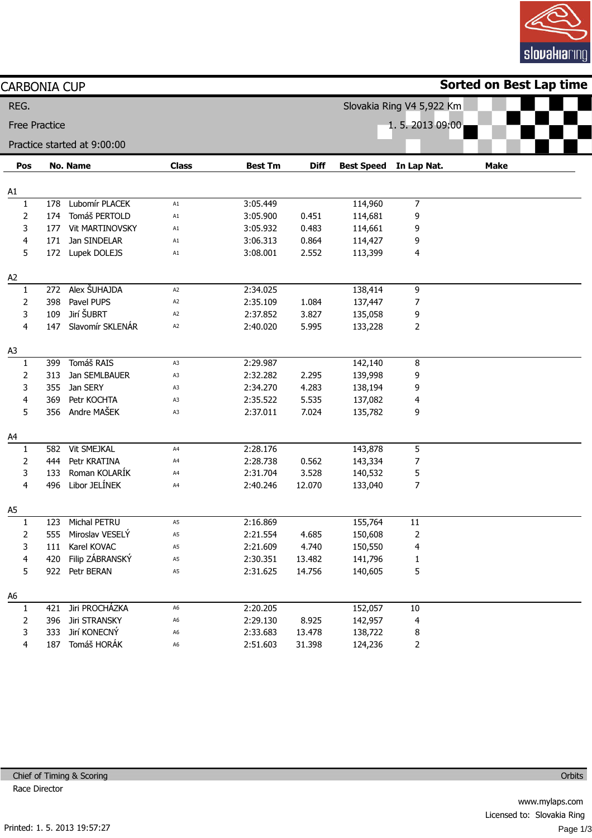

|                      | <b>CARBONIA CUP</b>                     |                |                      |                |                           |                | <b>Sorted on Best Lap time</b> |  |  |
|----------------------|-----------------------------------------|----------------|----------------------|----------------|---------------------------|----------------|--------------------------------|--|--|
| REG.                 |                                         |                |                      |                | Slovakia Ring V4 5,922 Km |                |                                |  |  |
| <b>Free Practice</b> |                                         |                |                      | 1.5.2013 09:00 |                           |                |                                |  |  |
|                      | Practice started at 9:00:00             |                |                      |                |                           |                |                                |  |  |
| Pos                  | <b>No. Name</b>                         | <b>Class</b>   | <b>Best Tm</b>       | <b>Diff</b>    | <b>Best Speed</b>         | In Lap Nat.    | <b>Make</b>                    |  |  |
|                      |                                         |                |                      |                |                           |                |                                |  |  |
| A1                   | Lubomír PLACEK<br>178                   | A1             | 3:05.449             |                | 114,960                   | $\overline{7}$ |                                |  |  |
| $\mathbf{1}$<br>2    | Tomáš PERTOLD<br>174                    | A1             | 3:05.900             | 0.451          | 114,681                   | 9              |                                |  |  |
| 3                    | Vit MARTINOVSKY<br>177                  | A1             | 3:05.932             | 0.483          | 114,661                   | 9              |                                |  |  |
| 4                    | Jan SINDELAR<br>171                     | A1             | 3:06.313             | 0.864          | 114,427                   | 9              |                                |  |  |
| 5                    | Lupek DOLEJS<br>172                     | A1             | 3:08.001             | 2.552          | 113,399                   | 4              |                                |  |  |
|                      |                                         |                |                      |                |                           |                |                                |  |  |
| A <sub>2</sub><br>1  | Alex ŠUHAJDA<br>272                     | A <sub>2</sub> | 2:34.025             |                | 138,414                   | 9              |                                |  |  |
| $\overline{2}$       | Pavel PUPS<br>398                       | A2             | 2:35.109             | 1.084          | 137,447                   | 7              |                                |  |  |
| 3                    | Jirí ŠUBRT<br>109                       | A2             | 2:37.852             | 3.827          | 135,058                   | 9              |                                |  |  |
| 4                    | Slavomír SKLENÁR<br>147                 | A <sub>2</sub> | 2:40.020             | 5.995          | 133,228                   | 2              |                                |  |  |
|                      |                                         |                |                      |                |                           |                |                                |  |  |
| A3                   | Tomáš RAIS                              |                |                      |                |                           |                |                                |  |  |
| 1                    | 399                                     | A3             | 2:29.987             |                | 142,140                   | 8              |                                |  |  |
| $\overline{2}$<br>3  | 313<br>Jan SEMLBAUER<br>355<br>Jan SERY | A3<br>A3       | 2:32.282<br>2:34.270 | 2.295          | 139,998                   | 9<br>9         |                                |  |  |
| 4                    | Petr KOCHTA<br>369                      | A3             | 2:35.522             | 4.283<br>5.535 | 138,194<br>137,082        | 4              |                                |  |  |
| 5                    | Andre MAŠEK<br>356                      | A3             | 2:37.011             | 7.024          | 135,782                   | 9              |                                |  |  |
|                      |                                         |                |                      |                |                           |                |                                |  |  |
| A4                   |                                         |                |                      |                |                           |                |                                |  |  |
| 1                    | Vit SMEJKAL<br>582                      | A4             | 2:28.176             |                | 143,878                   | 5              |                                |  |  |
| 2                    | Petr KRATINA<br>444                     | A4             | 2:28.738             | 0.562          | 143,334                   | 7              |                                |  |  |
| 3                    | Roman KOLARÍK<br>133                    | A4             | 2:31.704             | 3.528          | 140,532                   | 5              |                                |  |  |
| 4                    | Libor JELÍNEK<br>496                    | A4             | 2:40.246             | 12.070         | 133,040                   | $\overline{7}$ |                                |  |  |
| A <sub>5</sub>       |                                         |                |                      |                |                           |                |                                |  |  |
| 1                    | Michal PETRU<br>123                     | A5             | 2:16.869             |                | 155,764                   | 11             |                                |  |  |
| 2                    | 555 Miroslav VESELÝ                     | A5             | 2:21.554             | 4.685          | 150,608                   | 2              |                                |  |  |
| 3                    | 111 Karel KOVAC                         | A5             | 2:21.609             | 4.740          | 150,550                   | 4              |                                |  |  |
| 4                    | 420 Filip ZÁBRANSKÝ                     | A5             | 2:30.351             | 13.482         | 141,796                   | 1              |                                |  |  |
| 5                    | 922 Petr BERAN                          | A5             | 2:31.625             | 14.756         | 140,605                   | 5              |                                |  |  |
| A6                   |                                         |                |                      |                |                           |                |                                |  |  |
| 1                    | 421 Jiri PROCHÁZKA                      | A6             | 2:20.205             |                | 152,057                   | $10\,$         |                                |  |  |
| 2                    | 396 Jiri STRANSKY                       | A6             | 2:29.130             | 8.925          | 142,957                   | 4              |                                |  |  |
| 3                    | 333 Jirí KONECNÝ                        | A6             | 2:33.683             | 13.478         | 138,722                   | 8              |                                |  |  |
| 4                    | Tomáš HORÁK<br>187                      | A6             | 2:51.603             | 31.398         | 124,236                   | $\overline{2}$ |                                |  |  |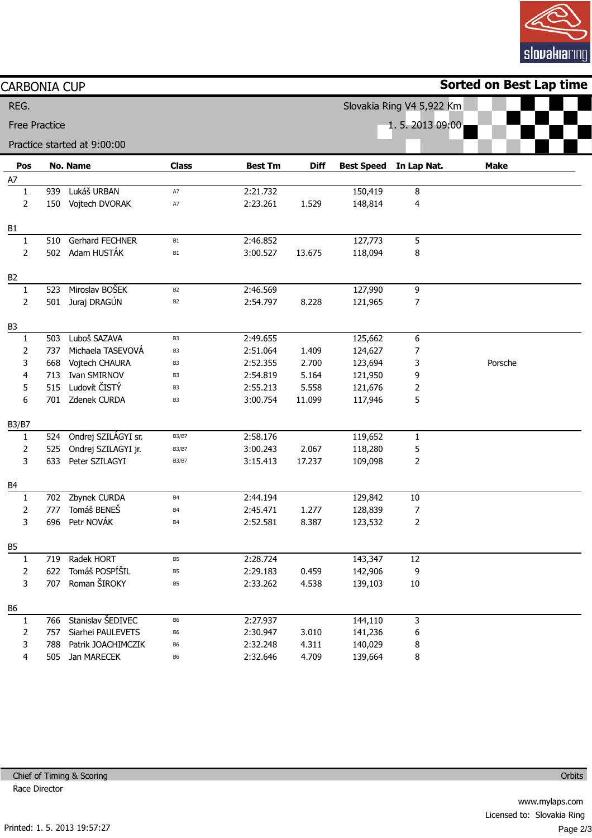

| <b>CARBONIA CUP</b>  |     |                                   |                |                      |                |                           |                        | <b>Sorted on Best Lap time</b> |  |  |
|----------------------|-----|-----------------------------------|----------------|----------------------|----------------|---------------------------|------------------------|--------------------------------|--|--|
| REG.                 |     |                                   |                |                      |                | Slovakia Ring V4 5,922 Km |                        |                                |  |  |
| <b>Free Practice</b> |     |                                   |                |                      | 1.5.2013 09:00 |                           |                        |                                |  |  |
|                      |     |                                   |                |                      |                |                           |                        |                                |  |  |
|                      |     | Practice started at 9:00:00       |                |                      |                |                           |                        |                                |  |  |
| Pos                  |     | <b>No. Name</b>                   | <b>Class</b>   | <b>Best Tm</b>       | <b>Diff</b>    |                           | Best Speed In Lap Nat. | <b>Make</b>                    |  |  |
| A7                   |     |                                   |                |                      |                |                           |                        |                                |  |  |
| 1                    | 939 | Lukáš URBAN<br>150 Vojtech DVORAK | A7             | 2:21.732<br>2:23.261 |                | 150,419                   | 8                      |                                |  |  |
| 2                    |     |                                   | A7             |                      | 1.529          | 148,814                   | 4                      |                                |  |  |
| B1                   |     |                                   |                |                      |                |                           |                        |                                |  |  |
| 1                    | 510 | Gerhard FECHNER                   | B <sub>1</sub> | 2:46.852             |                | 127,773                   | 5                      |                                |  |  |
| 2                    |     | 502 Adam HUSTÁK                   | B1             | 3:00.527             | 13.675         | 118,094                   | 8                      |                                |  |  |
|                      |     |                                   |                |                      |                |                           |                        |                                |  |  |
| B <sub>2</sub>       |     |                                   |                |                      |                |                           |                        |                                |  |  |
| 1                    | 523 | Miroslav BOŠEK                    | B <sub>2</sub> | 2:46.569             |                | 127,990                   | 9                      |                                |  |  |
| 2                    |     | 501 Juraj DRAGÚN                  | B2             | 2:54.797             | 8.228          | 121,965                   | 7                      |                                |  |  |
|                      |     |                                   |                |                      |                |                           |                        |                                |  |  |
| B <sub>3</sub>       |     |                                   |                |                      |                |                           |                        |                                |  |  |
| 1                    | 503 | Luboš SAZAVA                      | B <sub>3</sub> | 2:49.655             |                | 125,662                   | 6                      |                                |  |  |
| 2                    | 737 | Michaela TASEVOVÁ                 | B <sub>3</sub> | 2:51.064             | 1.409          | 124,627                   | 7                      |                                |  |  |
| 3                    | 668 | Vojtech CHAURA                    | B <sub>3</sub> | 2:52.355             | 2.700          | 123,694                   | 3                      | Porsche                        |  |  |
| 4                    | 713 | Ivan SMIRNOV                      | B <sub>3</sub> | 2:54.819             | 5.164          | 121,950                   | 9                      |                                |  |  |
| 5<br>6               | 515 | Ludovít ČISTÝ                     | B <sub>3</sub> | 2:55.213             | 5.558          | 121,676                   | 2                      |                                |  |  |
|                      |     | 701 Zdenek CURDA                  | B3             | 3:00.754             | 11.099         | 117,946                   | 5                      |                                |  |  |
| B3/B7                |     |                                   |                |                      |                |                           |                        |                                |  |  |
| $\mathbf{1}$         |     | 524 Ondrej SZILÁGYI sr.           | B3/B7          | 2:58.176             |                | 119,652                   | 1                      |                                |  |  |
| 2                    | 525 | Ondrej SZILAGYI jr.               | B3/B7          | 3:00.243             | 2.067          | 118,280                   | 5                      |                                |  |  |
| 3                    | 633 | Peter SZILAGYI                    | B3/B7          | 3:15.413             | 17.237         | 109,098                   | 2                      |                                |  |  |
|                      |     |                                   |                |                      |                |                           |                        |                                |  |  |
| B4                   |     |                                   |                |                      |                |                           |                        |                                |  |  |
| 1                    | 702 | Zbynek CURDA                      | B4             | 2:44.194             |                | 129,842                   | 10                     |                                |  |  |
| 2                    |     | 777 Tomáš BENEŠ                   | B4             | 2:45.471             | 1.277          | 128,839                   | $\overline{7}$         |                                |  |  |
| 3                    |     | 696 Petr NOVÁK                    | B <sub>4</sub> | 2:52.581             | 8.387          | 123,532                   | 2                      |                                |  |  |
|                      |     |                                   |                |                      |                |                           |                        |                                |  |  |
| B5<br>$\mathbf{1}$   |     | 719 Radek HORT                    | B <sub>5</sub> | 2:28.724             |                | 143,347                   | 12                     |                                |  |  |
| 2                    |     | 622 Tomáš POSPÍŠIL                | B5             | 2:29.183             | 0.459          | 142,906                   | 9                      |                                |  |  |
| 3                    |     | 707 Roman ŠIROKY                  | <b>B5</b>      | 2:33.262             | 4.538          | 139,103                   | 10                     |                                |  |  |
|                      |     |                                   |                |                      |                |                           |                        |                                |  |  |
| B6                   |     |                                   |                |                      |                |                           |                        |                                |  |  |
| $\mathbf{1}$         |     | 766 Stanislav ŠEDIVEC             | B <sub>6</sub> | 2:27.937             |                | 144,110                   | 3                      |                                |  |  |
| 2                    | 757 | Siarhei PAULEVETS                 | B <sub>6</sub> | 2:30.947             | 3.010          | 141,236                   | 6                      |                                |  |  |
| 3                    | 788 | Patrik JOACHIMCZIK                | B <sub>6</sub> | 2:32.248             | 4.311          | 140,029                   | 8                      |                                |  |  |
| 4                    |     | 505 Jan MARECEK                   | <b>B6</b>      | 2:32.646             | 4.709          | 139,664                   | 8                      |                                |  |  |